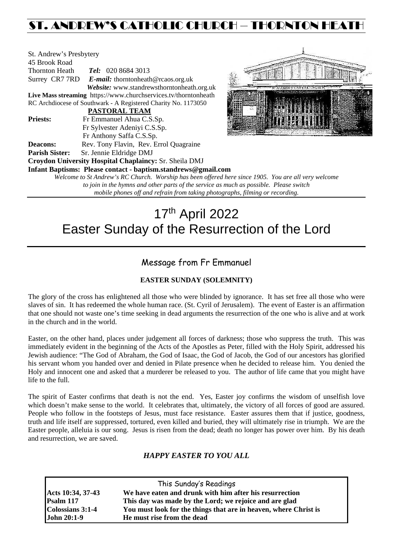# ST. ANDREW'S CATHOLIC CHURCH – THORNTON HEATH

| St. Andrew's Presbytery |                                                                  |  |  |  |  |
|-------------------------|------------------------------------------------------------------|--|--|--|--|
| 45 Brook Road           |                                                                  |  |  |  |  |
| <b>Thornton Heath</b>   | <b>Tel:</b> 020 8684 3013                                        |  |  |  |  |
|                         | Surrey CR7 7RD E-mail: thorntonheath@rcaos.org.uk                |  |  |  |  |
|                         | Website: www.standrewsthorntonheath.org.uk                       |  |  |  |  |
|                         | Live Mass streaming https://www.churchservices.tv/thorntonheath  |  |  |  |  |
|                         | RC Archdiocese of Southwark - A Registered Charity No. 1173050   |  |  |  |  |
|                         | <b>PASTORAL TEAM</b>                                             |  |  |  |  |
| <b>Priests:</b>         | Fr Emmanuel Ahua C.S.Sp.                                         |  |  |  |  |
|                         | Fr Sylvester Adeniyi C.S.Sp.                                     |  |  |  |  |
|                         | Fr Anthony Saffa C.S.Sp.                                         |  |  |  |  |
| Deacons:                | Rev. Tony Flavin, Rev. Errol Quagraine                           |  |  |  |  |
| <b>Parish Sister:</b>   | Sr. Jennie Eldridge DMJ                                          |  |  |  |  |
|                         | Croydon University Hospital Chaplaincy: Sr. Sheila DMJ           |  |  |  |  |
|                         | Infant Baptisms: Please contact - baptism.standrews@gmail.com    |  |  |  |  |
|                         | Welcome to St Andrew's RC Church. Worship has been offered here. |  |  |  |  |



*Welcome to St Andrew's RC Church. Worship has been offered here since 1905. You are all very welcome to join in the hymns and other parts of the service as much as possible. Please switch mobile phones off and refrain from taking photographs, filming or recording.*

# 17th April 2022 Easter Sunday of the Resurrection of the Lord

# Message from Fr Emmanuel

# **EASTER SUNDAY (SOLEMNITY)**

The glory of the cross has enlightened all those who were blinded by ignorance. It has set free all those who were slaves of sin. It has redeemed the whole human race. (St. Cyril of Jerusalem). The event of Easter is an affirmation that one should not waste one's time seeking in dead arguments the resurrection of the one who is alive and at work in the church and in the world.

Easter, on the other hand, places under judgement all forces of darkness; those who suppress the truth. This was immediately evident in the beginning of the Acts of the Apostles as Peter, filled with the Holy Spirit, addressed his Jewish audience: "The God of Abraham, the God of Isaac, the God of Jacob, the God of our ancestors has glorified his servant whom you handed over and denied in Pilate presence when he decided to release him. You denied the Holy and innocent one and asked that a murderer be released to you. The author of life came that you might have life to the full.

The spirit of Easter confirms that death is not the end. Yes, Easter joy confirms the wisdom of unselfish love which doesn't make sense to the world. It celebrates that, ultimately, the victory of all forces of good are assured. People who follow in the footsteps of Jesus, must face resistance. Easter assures them that if justice, goodness, truth and life itself are suppressed, tortured, even killed and buried, they will ultimately rise in triumph. We are the Easter people, alleluia is our song. Jesus is risen from the dead; death no longer has power over him. By his death and resurrection, we are saved.

# *HAPPY EASTER TO YOU ALL*

| This Sunday's Readings |                                                                  |  |  |  |
|------------------------|------------------------------------------------------------------|--|--|--|
| Acts 10:34, 37-43      | We have eaten and drunk with him after his resurrection          |  |  |  |
| Psalm 117              | This day was made by the Lord; we rejoice and are glad           |  |  |  |
| Colossians 3:1-4       | You must look for the things that are in heaven, where Christ is |  |  |  |
| <b>John 20:1-9</b>     | He must rise from the dead                                       |  |  |  |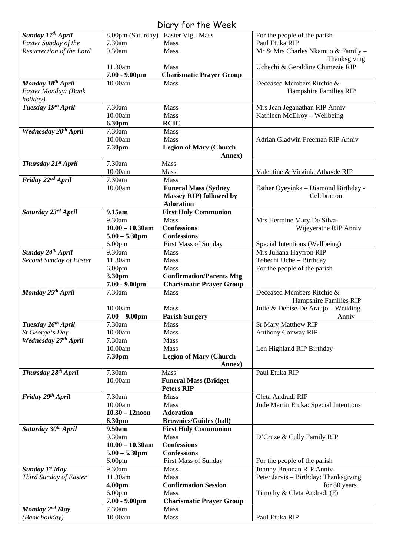# Diary for the Week

| Sunday 17th April                |                    | $5.21$ , $1.51$ , $1.15$ , $1.55$<br>8.00pm (Saturday) Easter Vigil Mass | For the people of the parish          |
|----------------------------------|--------------------|--------------------------------------------------------------------------|---------------------------------------|
| Easter Sunday of the             | 7.30am             | Mass                                                                     | Paul Etuka RIP                        |
| Resurrection of the Lord         | 9.30am             | <b>Mass</b>                                                              | Mr & Mrs Charles Nkamuo & Family -    |
|                                  |                    |                                                                          |                                       |
|                                  |                    |                                                                          | Thanksgiving                          |
|                                  | 11.30am            | <b>Mass</b>                                                              | Uchechi & Geraldine Chimezie RIP      |
|                                  | $7.00 - 9.00$ pm   | <b>Charismatic Prayer Group</b>                                          |                                       |
| Monday 18th April                | 10.00am            | Mass                                                                     | Deceased Members Ritchie &            |
| Easter Monday: (Bank             |                    |                                                                          | Hampshire Families RIP                |
| holiday)                         |                    |                                                                          |                                       |
| Tuesday 19th April               | 7.30am             | Mass                                                                     | Mrs Jean Jeganathan RIP Anniv         |
|                                  | 10.00am            | Mass                                                                     | Kathleen McElroy - Wellbeing          |
|                                  | 6.30pm             | <b>RCIC</b>                                                              |                                       |
| Wednesday 20 <sup>th</sup> April | 7.30am             | Mass                                                                     |                                       |
|                                  | 10.00am            | <b>Mass</b>                                                              | Adrian Gladwin Freeman RIP Anniv      |
|                                  | 7.30pm             | <b>Legion of Mary (Church</b>                                            |                                       |
|                                  |                    | Annex)                                                                   |                                       |
| Thursday 21st April              | 7.30am             | Mass                                                                     |                                       |
|                                  | 10.00am            | Mass                                                                     | Valentine & Virginia Athayde RIP      |
| Friday 22 <sup>nd</sup> April    | 7.30am             | Mass                                                                     |                                       |
|                                  | 10.00am            | <b>Funeral Mass (Sydney</b>                                              | Esther Oyeyinka - Diamond Birthday -  |
|                                  |                    | Massey RIP) followed by                                                  | Celebration                           |
|                                  |                    | <b>Adoration</b>                                                         |                                       |
| Saturday 23rd April              | 9.15am             | <b>First Holy Communion</b>                                              |                                       |
|                                  | 9.30am             | Mass                                                                     |                                       |
|                                  | $10.00 - 10.30$ am |                                                                          | Mrs Hermine Mary De Silva-            |
|                                  |                    | <b>Confessions</b>                                                       | Wijeyeratne RIP Anniv                 |
|                                  | $5.00 - 5.30$ pm   | <b>Confessions</b>                                                       |                                       |
|                                  | 6.00 <sub>pm</sub> | First Mass of Sunday                                                     | Special Intentions (Wellbeing)        |
| Sunday 24th April                | 9.30am             | Mass                                                                     | Mrs Juliana Hayfron RIP               |
| Second Sunday of Easter          | 11.30am            | Mass                                                                     | Tobechi Uche - Birthday               |
|                                  | 6.00 <sub>pm</sub> | Mass                                                                     | For the people of the parish          |
|                                  | 3.30pm             | <b>Confirmation/Parents Mtg</b>                                          |                                       |
|                                  | $7.00 - 9.00$ pm   | <b>Charismatic Prayer Group</b>                                          |                                       |
| Monday 25 <sup>th</sup> April    | 7.30am             | <b>Mass</b>                                                              | Deceased Members Ritchie &            |
|                                  |                    |                                                                          | Hampshire Families RIP                |
|                                  | 10.00am            | <b>Mass</b>                                                              | Julie & Denise De Araujo - Wedding    |
|                                  | $7.00 - 9.00$ pm   | <b>Parish Surgery</b>                                                    | Anniv                                 |
| Tuesday 26th April               | 7.30am             | Mass                                                                     | <b>Sr Mary Matthew RIP</b>            |
| St George's Day                  | 10.00am            | Mass                                                                     | <b>Anthony Conway RIP</b>             |
| Wednesday 27th April             | 7.30am             | Mass                                                                     |                                       |
|                                  | 10.00am            | Mass                                                                     | Len Highland RIP Birthday             |
|                                  | 7.30pm             | <b>Legion of Mary (Church</b>                                            |                                       |
|                                  |                    | Annex)                                                                   |                                       |
| Thursday 28th April              | 7.30am             | Mass                                                                     | Paul Etuka RIP                        |
|                                  | 10.00am            | <b>Funeral Mass (Bridget</b>                                             |                                       |
|                                  |                    | <b>Peters RIP</b>                                                        |                                       |
| Friday 29th April                | 7.30am             | Mass                                                                     | Cleta Andradi RIP                     |
|                                  | 10.00am            | <b>Mass</b>                                                              | Jude Martin Etuka: Special Intentions |
|                                  | $10.30 - 12$ noon  | <b>Adoration</b>                                                         |                                       |
|                                  | 6.30pm             | <b>Brownies/Guides (hall)</b>                                            |                                       |
| Saturday 30 <sup>th</sup> April  | 9.50am             | <b>First Holy Communion</b>                                              |                                       |
|                                  | 9.30am             | <b>Mass</b>                                                              |                                       |
|                                  | $10.00 - 10.30$ am | <b>Confessions</b>                                                       | D'Cruze & Cully Family RIP            |
|                                  |                    |                                                                          |                                       |
|                                  | $5.00 - 5.30$ pm   | <b>Confessions</b>                                                       |                                       |
|                                  | 6.00 <sub>pm</sub> | <b>First Mass of Sunday</b>                                              | For the people of the parish          |
| Sunday 1st May                   | 9.30am             | <b>Mass</b>                                                              | Johnny Brennan RIP Anniv              |
| Third Sunday of Easter           | 11.30am            | <b>Mass</b>                                                              | Peter Jarvis - Birthday: Thanksgiving |
|                                  | 4.00pm             | <b>Confirmation Session</b>                                              | for 80 years                          |
|                                  | 6.00 <sub>pm</sub> | <b>Mass</b>                                                              | Timothy & Cleta Andradi (F)           |
|                                  | $7.00 - 9.00$ pm   | <b>Charismatic Prayer Group</b>                                          |                                       |
| Monday 2nd May                   | 7.30am             | Mass                                                                     |                                       |
| (Bank holiday)                   | 10.00am            | Mass                                                                     | Paul Etuka RIP                        |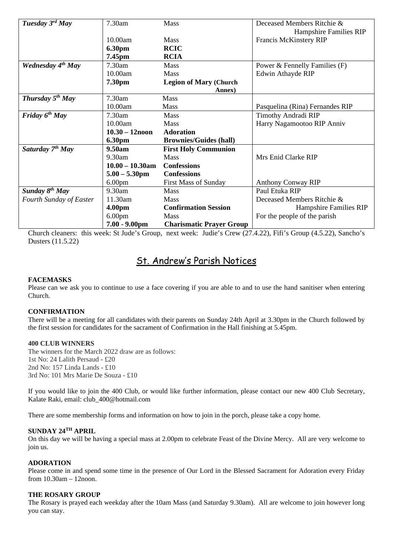| Tuesday $3^{rd}$ May          | 7.30am             | <b>Mass</b>                     | Deceased Members Ritchie &      |
|-------------------------------|--------------------|---------------------------------|---------------------------------|
|                               |                    |                                 | Hampshire Families RIP          |
|                               | 10.00am            | <b>Mass</b>                     | Francis McKinstery RIP          |
|                               | 6.30pm             | <b>RCIC</b>                     |                                 |
|                               | 7.45pm             | <b>RCIA</b>                     |                                 |
| Wednesday 4 <sup>th</sup> May | $7.30$ am          | Mass                            | Power & Fennelly Families (F)   |
|                               | 10.00am            | <b>Mass</b>                     | Edwin Athayde RIP               |
|                               | 7.30pm             | <b>Legion of Mary (Church</b>   |                                 |
|                               |                    | Annex)                          |                                 |
| Thursday 5 <sup>th</sup> May  | 7.30am             | <b>Mass</b>                     |                                 |
|                               | 10.00am            | Mass                            | Pasquelina (Rina) Fernandes RIP |
| Friday $6^{th}$ May           | 7.30am             | <b>Mass</b>                     | Timothy Andradi RIP             |
|                               | 10.00am            | Mass                            | Harry Nagamootoo RIP Anniv      |
|                               | $10.30 - 12$ noon  | <b>Adoration</b>                |                                 |
|                               | 6.30pm             | <b>Brownies/Guides (hall)</b>   |                                 |
| Saturday $7^{th}$ May         | 9.50am             | <b>First Holy Communion</b>     |                                 |
|                               | 9.30am             | <b>Mass</b>                     | Mrs Enid Clarke RIP             |
|                               | $10.00 - 10.30$ am | <b>Confessions</b>              |                                 |
|                               | $5.00 - 5.30$ pm   | <b>Confessions</b>              |                                 |
|                               | 6.00 <sub>pm</sub> | <b>First Mass of Sunday</b>     | <b>Anthony Conway RIP</b>       |
| Sunday 8 <sup>th</sup> May    | 9.30am             | <b>Mass</b>                     | Paul Etuka RIP                  |
| Fourth Sunday of Easter       | 11.30am            | <b>Mass</b>                     | Deceased Members Ritchie &      |
|                               | 4.00pm             | <b>Confirmation Session</b>     | Hampshire Families RIP          |
|                               | 6.00 <sub>pm</sub> | <b>Mass</b>                     | For the people of the parish    |
|                               | $7.00 - 9.00$ pm   | <b>Charismatic Prayer Group</b> |                                 |

Church cleaners: this week: St Jude's Group, next week: Judie's Crew (27.4.22), Fifi's Group (4.5.22), Sancho's Dusters (11.5.22)

# St. Andrew's Parish Notices

# **FACEMASKS**

Please can we ask you to continue to use a face covering if you are able to and to use the hand sanitiser when entering Church.

#### **CONFIRMATION**

There will be a meeting for all candidates with their parents on Sunday 24th April at 3.30pm in the Church followed by the first session for candidates for the sacrament of Confirmation in the Hall finishing at 5.45pm.

## **400 CLUB WINNERS**

The winners for the March 2022 draw are as follows: 1st No: 24 Lalith Persaud - £20 2nd No: 157 Linda Lands - £10 3rd No: 101 Mrs Marie De Souza - £10

If you would like to join the 400 Club, or would like further information, please contact our new 400 Club Secretary, Kalate Raki, email: [club\\_400@hotmail.com](mailto:club_400@hotmail.com)

There are some membership forms and information on how to join in the porch, please take a copy home.

# **SUNDAY 24TH APRIL**

On this day we will be having a special mass at 2.00pm to celebrate Feast of the Divine Mercy. All are very welcome to join us.

#### **ADORATION**

Please come in and spend some time in the presence of Our Lord in the Blessed Sacrament for Adoration every Friday from 10.30am – 12noon.

## **THE ROSARY GROUP**

The Rosary is prayed each weekday after the 10am Mass (and Saturday 9.30am). All are welcome to join however long you can stay.